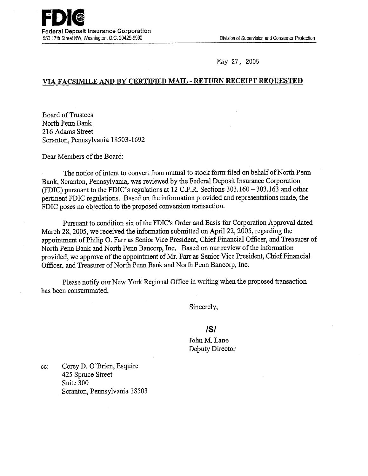27, 2005

## *VIA* **FACSIMILE** *AND* **BY CERTIFIED MAIL** - **RETURN RECEIPT REQUESTED**

Board of Trustees North Penn Bank 216 Adams Street Scranton, Pennsylvania 18503-1692

Dear Members of the Board:

The notice of intent to convert from mutual to stock form filed on behalf of North Penn Bank, Scranton, Pennsylvania, was reviewed by the Federal Deposit Insurance Corporation (FDIC) pursuant to the FDIC's regulations at 12 C.F.R. Sections 303.160 - 303.163 and other pertinent FDIC regulations. Based on the information provided and representations made, the FDIC poses no objection to the proposed conversion transaction.

Pursuant to condition six of the FDIC's Order and Basis for Corporation Approval dated March 28, 2005, we received the information submitted on April 22, 2005, regarding the appointment of Philip 0. Farr as Senior Vice President, Chief Financial Officer, and Treasurer of North Penn Bank and North Penn Bancorp, Inc. Based on our review of the information provided, we approve of the appointment of Mr. Farr as Senior Vice President, Chief Financial Officer, and Treasurer of North Penn Bank and North Penn Bancorp, Inc.

Please notify our New York Regional Office in writing when the proposed transaction has been consummated.

Sincerely,

## **/S/**

John M. Lane Deputy Director

cc: Corey D. O'Brien, Esquire *425* Spruce Street Suite 300 Scranton, Pennsylvania 18503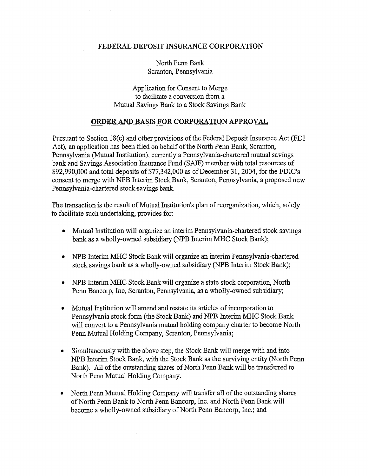## FEDERAL DEPOSIT INSURANCE CORPORATION

North Penn Bank Scranton, Pennsylvania

Application for Consent to Merge to facilitate a conversion from a Mutual Savings Bank to a Stock Savings Bank

## ORDER AND BASIS FOR CORPORATION APPROVAL

Pursuant to Section 18(c) and other provisions of the Federal Deposit Insurance Act (FDI Act), an application has been filed on behalf of the North Penn Bank, Scranton, Pennsylvania (Mutual Institution), currently a Pennsylvania-chartered mutual savings bank and Savings Association Insurance Fund (SAIF) member with total resources of \$92,990,000 and total deposits of \$77,342,000 as of December 31, 2004, for the FDIC's consent to merge with NPB Interim Stock Bank, Scranton, Pennsylvania, a proposed new Pennsylvania-chartered stock savings bank.

The transaction is the result of Mutual Institution's plan of reorganization, which, solely to facilitate such undertaking, provides for:

- Mutual Institution will organize an interim Pennsylvania-chartered stock savings bank as a wholly-owned subsidiary (NPB Interim MHC Stock Bank);
- NPB Interim MHC Stock Bank will organize an interim Pennsylvania-chartered stock savings bank as a wholly-owned subsidiary (NPB Interim Stock Bank);
- NPB Interim MHC Stock Bank will organize a state stock corporation, North Penn Bancorp, Inc, Scranton, Pennsylvania, as a wholly-owned subsidiary;
- Mutual Institution will amend and restate its articles of incorporation to Pennsylvania stock form (the Stock Bank) and NPB Interim MHC Stock Bank will convert to a Pennsylvania mutual holding company charter to become North Penn Mutual Holding Company, Scranton, Pennsylvania;
- Simultaneously with the above step, the Stock Bank will merge with and into NPB Interim Stock Bank, with the Stock Bank as the surviving entity (North Penn Bank). All of the outstanding shares of North Penn Bank will be transferred to North Penn Mutual Holding Company.
- North Penn Mutual Holding Company will transfer all of the outstanding shares of North Penn Bank to North Penn Bancorp, Inc. and North Penn Bank will become a wholly-owned subsidiary of North Penn Bancorp, Inc.; and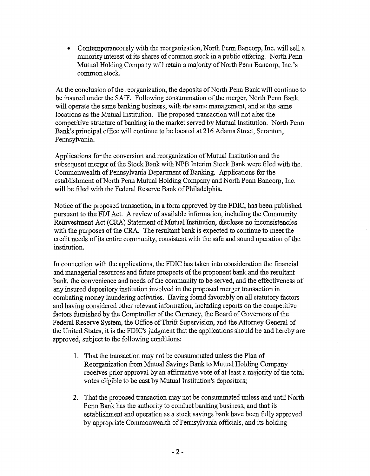• Contemporaneously with the reorganization, North Penn Bancorp, Inc. will sell a minority interest of its shares of common stock in a public offering. North Penn Mutual Holding Company will retain a majority of North Penn Bancorp, Inc.'s common stock.

At the conclusion of the reorganization, the deposits of North Penn Bank will continue to be insured under the SAIF. Following consummation of the merger, North Penn Bank will operate the same banking business, with the same management, and at the same locations as the Mutual Institution. The proposed transaction will not alter the competitive structure of banking in the market served by Mutual Institution. North Penn Bank's principal office will continue to be located at 216 Adams Street, Scranton, Pennsylvania.

Applications for the conversion and reorganization of Mutual Institution and the subsequent merger of the Stock Bank with NPB Interim Stock Bank were filed with the Commonwealth of Pennsylvania Department of Banking. Applications for the establishment of North Penn Mutual Holding Company and North Penn Bancorp, Inc. will be filed with the Federal Reserve Bank of Philadelphia.

Notice of the proposed transaction, in a form approved by the FDIC, has been published pursuant to the FDI Act. A review of available mformation, including the Community Reinvestment Act (CRA) Statement of Mutual Institution, discloses no inconsistencies with the purposes of the CRA. The resultant bank is expected to continue to meet the credit needs of its entire community, consistent with the safe and sound operation of the institution.

In connection with the applications, the FDIC has taken into consideration the fmancial and managerial resources and future prospects of the proponent bank and the resultant bank, the convenience and needs of the community to be served, and the effectiveness of any insured depository institution involved in the proposed merger transaction in combating money laundering activities. Having found favorably on all statutory factors and having considered other relevant information, including reports on the competitive factors furnished by the Comptroller of the Currency, the Board of Governors of the Federal Reserve System, the Office of Thrift Supervision, and the Attorney General of the United States, it is the FDIC's judgment that the applications should be and hereby are approved, subject to the following conditions:

- 1. That the transaction may not be consummated unless the Plan of Reorganization from Mutual Savings Bank to Mutual Holding Company receives prior approval by an affirmative vote of at least a majority of the total votes eligible to be cast by Mutual Institution's depositors;
- 2. That the proposed transaction may not be consummated unless and until North Penn Bank has the authority to conduct banking business, and that its establishment and operation as a stock savings bank have been fully approved by appropriate Commonwealth of Pennsylvania officials, and its holding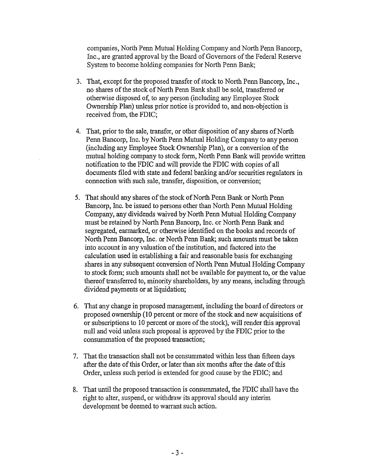companies, North Penn Mutual Holding Company and North Penn Bancorp, Inc., are granted approval by the Board of Governors of the Federal Reserve System to become holding companies for North Penn Bank;

- 3. That, except for the proposed transfer of stock to North Penn Bancorp, Inc., no shares of the stock of North Penn Bank shall be sold, transferred or otherwise disposed of, to any person (including any Employee Stock Ownership Plan) unless prior notice is provided to, and non-objection is received from, the FDIC;
- 4. That, prior to the sale, transfer, or other disposition of any shares of North Penn Bancorp, Inc. by North Penn Mutual Holding Company to any person (including any Employee Stock Ownership Plan), or a conversion of the mutual holding company to stock form, North Penn Bank will provide written notification to the FDIC and will provide the FDIC with copies of all documents filed with state and federal banking and/or securities regulators in connection with such sale, transfer, disposition, or conversion;
- 5. That should any shares of the stock of North Penn Bank or North Penn Bancorp, Inc. be issued to persons other than North Penn Mutual Holding Company, any dividends waived by North Penn Mutual Holding Company must be retained by North Penn Bancorp, Inc. or North Penn Bank and segregated, earmarked, or otherwise identified on the books and records of North Penn Bancorp, Inc. or North Penn Bank; such amounts must be taken into account in any valuation of the institution, and factored into the calculation used in establishing a fair and reasonable basis for exchanging shares in any subsequent conversion of North Penn Mutual Holding Company to stock form; such amounts shall not be available for payment to, or the value thereof transferred to, minority shareholders, by any means, including through dividend payments or at liquidation;
- 6. That any change in proposed management, including the board of directors or proposed ownership (10 percent or more of the stock and new acquisitions of or subscriptions to 10 percent or more of the stock), will render this approval null and void unless such proposal is approved by the FDIC prior to the consummation of the proposed transaction;
- 7. That the transaction shall not be consummated within less than fifteen days after the date of this Order, or later than six months after the date of this Order, unless such period is extended for good cause by the FDIC; and
- 8. That until the proposed transaction is consummated, the FDIC shall-have the right to alter, suspend, or withdraw its approval should any interim development be deemed to warrant such action.